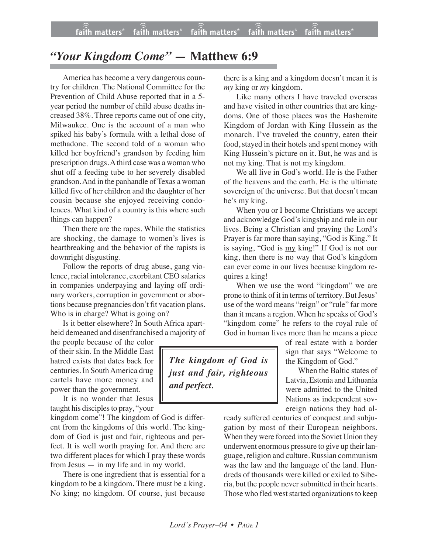## *"Your Kingdom Come" —* **Matthew 6:9**

America has become a very dangerous country for children. The National Committee for the Prevention of Child Abuse reported that in a 5 year period the number of child abuse deaths increased 38%. Three reports came out of one city, Milwaukee. One is the account of a man who spiked his baby's formula with a lethal dose of methadone. The second told of a woman who killed her boyfriend's grandson by feeding him prescription drugs. A third case was a woman who shut off a feeding tube to her severely disabled grandson. And in the panhandle of Texas a woman killed five of her children and the daughter of her cousin because she enjoyed receiving condolences. What kind of a country is this where such things can happen?

Then there are the rapes. While the statistics are shocking, the damage to women's lives is heartbreaking and the behavior of the rapists is downright disgusting.

Follow the reports of drug abuse, gang violence, racial intolerance, exorbitant CEO salaries in companies underpaying and laying off ordinary workers, corruption in government or abortions because pregnancies don't fit vacation plans. Who is in charge? What is going on?

Is it better elsewhere? In South Africa apartheid demeaned and disenfranchised a majority of

the people because of the color of their skin. In the Middle East hatred exists that dates back for centuries. In SouthAmerica drug cartels have more money and power than the government.

It is no wonder that Jesus taught his disciples to pray, "your

kingdom come"! The kingdom of God is different from the kingdoms of this world. The kingdom of God is just and fair, righteous and perfect. It is well worth praying for. And there are two different places for which I pray these words from Jesus — in my life and in my world.

There is one ingredient that is essential for a kingdom to be a kingdom. There must be a king. No king; no kingdom. Of course, just because there is a king and a kingdom doesn't mean it is *my* king or *my* kingdom.

Like many others I have traveled overseas and have visited in other countries that are kingdoms. One of those places was the Hashemite Kingdom of Jordan with King Hussein as the monarch. I've traveled the country, eaten their food, stayed in their hotels and spent money with King Hussein's picture on it. But, he was and is not my king. That is not my kingdom.

We all live in God's world. He is the Father of the heavens and the earth. He is the ultimate sovereign of the universe. But that doesn't mean he's my king.

When you or I become Christians we accept and acknowledge God's kingship and rule in our lives. Being a Christian and praying the Lord's Prayer is far more than saying, "God is King." It is saying, "God is my king!" If God is not our king, then there is no way that God's kingdom can ever come in our lives because kingdom requires a king!

When we use the word "kingdom" we are prone to think of it in terms of territory. But Jesus' use of the word means "reign" or "rule" far more than it means a region. When he speaks of God's "kingdom come" he refers to the royal rule of God in human lives more than he means a piece

> of real estate with a border sign that says "Welcome to the Kingdom of God."

When the Baltic states of Latvia, Estonia and Lithuania were admitted to the United Nations as independent sovereign nations they had al-

ready suffered centuries of conquest and subjugation by most of their European neighbors. When they were forced into the Soviet Union they underwent enormous pressure to give up their language, religion and culture. Russian communism was the law and the language of the land. Hundreds of thousands were killed or exiled to Siberia, but the people never submitted in their hearts. Those who fled west started organizations to keep

*The kingdom of God is just and fair, righteous and perfect.*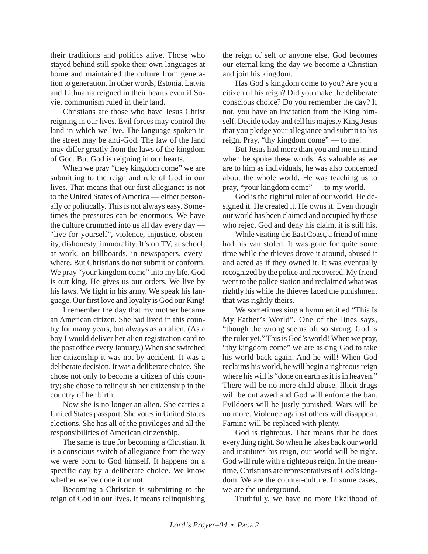their traditions and politics alive. Those who stayed behind still spoke their own languages at home and maintained the culture from generation to generation. In other words, Estonia, Latvia and Lithuania reigned in their hearts even if Soviet communism ruled in their land.

Christians are those who have Jesus Christ reigning in our lives. Evil forces may control the land in which we live. The language spoken in the street may be anti-God. The law of the land may differ greatly from the laws of the kingdom of God. But God is reigning in our hearts.

When we pray "they kingdom come" we are submitting to the reign and rule of God in our lives. That means that our first allegiance is not to the United States of America — either personally or politically. This is not always easy. Sometimes the pressures can be enormous. We have the culture drummed into us all day every day — "live for yourself", violence, injustice, obscenity, dishonesty, immorality. It's on TV, at school, at work, on billboards, in newspapers, everywhere. But Christians do not submit or conform. We pray "your kingdom come" into my life. God is our king. He gives us our orders. We live by his laws. We fight in his army. We speak his language. Our first love and loyalty is God our King!

I remember the day that my mother became an American citizen. She had lived in this country for many years, but always as an alien. (As a boy I would deliver her alien registration card to the post office every January.) When she switched her citizenship it was not by accident. It was a deliberate decision. It was a deliberate choice. She chose not only to become a citizen of this country; she chose to relinquish her citizenship in the country of her birth.

Now she is no longer an alien. She carries a United States passport. She votes in United States elections. She has all of the privileges and all the responsibilities of American citizenship.

The same is true for becoming a Christian. It is a conscious switch of allegiance from the way we were born to God himself. It happens on a specific day by a deliberate choice. We know whether we've done it or not.

Becoming a Christian is submitting to the reign of God in our lives. It means relinquishing the reign of self or anyone else. God becomes our eternal king the day we become a Christian and join his kingdom.

Has God's kingdom come to you? Are you a citizen of his reign? Did you make the deliberate conscious choice? Do you remember the day? If not, you have an invitation from the King himself. Decide today and tell his majesty King Jesus that you pledge your allegiance and submit to his reign. Pray, "thy kingdom come" — to me!

But Jesus had more than you and me in mind when he spoke these words. As valuable as we are to him as individuals, he was also concerned about the whole world. He was teaching us to pray, "your kingdom come" — to my world.

God is the rightful ruler of our world. He designed it. He created it. He owns it. Even though our world has been claimed and occupied by those who reject God and deny his claim, it is still his.

While visiting the East Coast, a friend of mine had his van stolen. It was gone for quite some time while the thieves drove it around, abused it and acted as if they owned it. It was eventually recognized by the police and recovered. My friend went to the police station and reclaimed what was rightly his while the thieves faced the punishment that was rightly theirs.

We sometimes sing a hymn entitled "This Is My Father's World". One of the lines says, "though the wrong seems oft so strong, God is the ruler yet." This is God's world! When we pray, "thy kingdom come" we are asking God to take his world back again. And he will! When God reclaims his world, he will begin a righteous reign where his will is "done on earth as it is in heaven." There will be no more child abuse. Illicit drugs will be outlawed and God will enforce the ban. Evildoers will be justly punished. Wars will be no more. Violence against others will disappear. Famine will be replaced with plenty.

God is righteous. That means that he does everything right. So when he takes back our world and institutes his reign, our world will be right. God will rule with a righteous reign. In the meantime, Christians are representatives of God's kingdom. We are the counter-culture. In some cases, we are the underground.

Truthfully, we have no more likelihood of